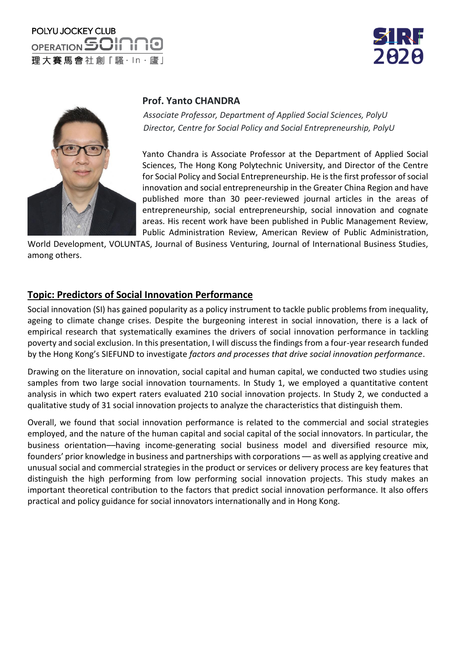## POLYU JOCKEY CLUB OPERATION SOIN 理大賽馬會社創「騷·ln·廬」





#### **Prof. Yanto CHANDRA**

*Associate Professor, Department of Applied Social Sciences, PolyU Director, Centre for Social Policy and Social Entrepreneurship, PolyU*

Yanto Chandra is Associate Professor at the Department of Applied Social Sciences, The Hong Kong Polytechnic University, and Director of the Centre for Social Policy and Social Entrepreneurship. He is the first professor of social innovation and social entrepreneurship in the Greater China Region and have published more than 30 peer-reviewed journal articles in the areas of entrepreneurship, social entrepreneurship, social innovation and cognate areas. His recent work have been published in Public Management Review, Public Administration Review, American Review of Public Administration,

World Development, VOLUNTAS, Journal of Business Venturing, Journal of International Business Studies, among others.

#### **Topic: Predictors of Social Innovation Performance**

Social innovation (SI) has gained popularity as a policy instrument to tackle public problems from inequality, ageing to climate change crises. Despite the burgeoning interest in social innovation, there is a lack of empirical research that systematically examines the drivers of social innovation performance in tackling poverty and social exclusion. In this presentation, I will discuss the findings from a four-year research funded by the Hong Kong's SIEFUND to investigate *factors and processes that drive social innovation performance*.

Drawing on the literature on innovation, social capital and human capital, we conducted two studies using samples from two large social innovation tournaments. In Study 1, we employed a quantitative content analysis in which two expert raters evaluated 210 social innovation projects. In Study 2, we conducted a qualitative study of 31 social innovation projects to analyze the characteristics that distinguish them.

Overall, we found that social innovation performance is related to the commercial and social strategies employed, and the nature of the human capital and social capital of the social innovators. In particular, the business orientation––having income-generating social business model and diversified resource mix, founders' prior knowledge in business and partnerships with corporations — as well as applying creative and unusual social and commercial strategies in the product or services or delivery process are key features that distinguish the high performing from low performing social innovation projects. This study makes an important theoretical contribution to the factors that predict social innovation performance. It also offers practical and policy guidance for social innovators internationally and in Hong Kong.